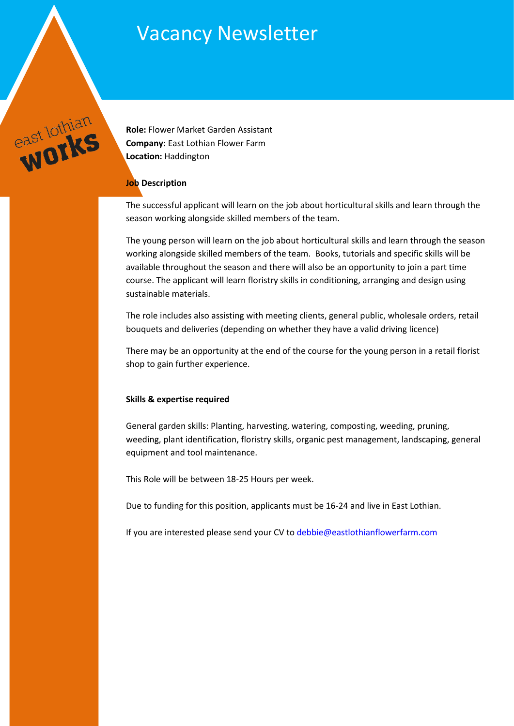# Vacancy Newsletter



**Role:** Flower Market Garden Assistant **Company:** East Lothian Flower Farm **Location:** Haddington

#### **Job Description**

The successful applicant will learn on the job about horticultural skills and learn through the season working alongside skilled members of the team.

The young person will learn on the job about horticultural skills and learn through the season working alongside skilled members of the team. Books, tutorials and specific skills will be available throughout the season and there will also be an opportunity to join a part time course. The applicant will learn floristry skills in conditioning, arranging and design using sustainable materials.

The role includes also assisting with meeting clients, general public, wholesale orders, retail bouquets and deliveries (depending on whether they have a valid driving licence)

There may be an opportunity at the end of the course for the young person in a retail florist shop to gain further experience.

#### **Skills & expertise required**

General garden skills: Planting, harvesting, watering, composting, weeding, pruning, weeding, plant identification, floristry skills, organic pest management, landscaping, general equipment and tool maintenance.

This Role will be between 18-25 Hours per week.

Due to funding for this position, applicants must be 16-24 and live in East Lothian.

If you are interested please send your CV to [debbie@eastlothianflowerfarm.com](mailto:debbie@eastlothianflowerfarm.com)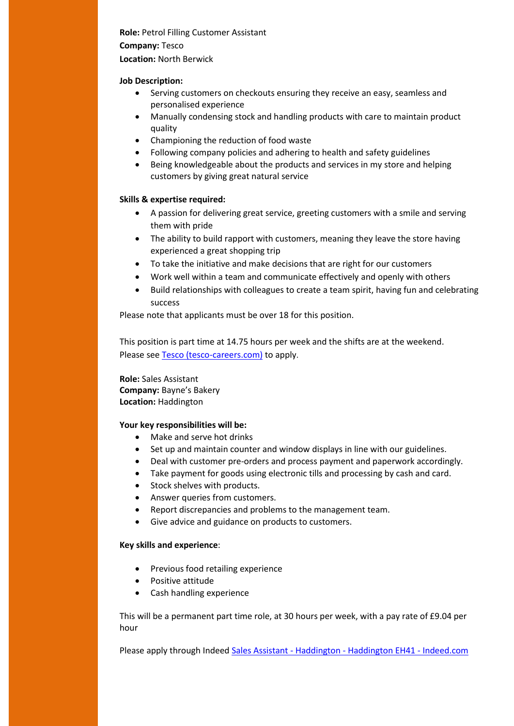# **Role:** Petrol Filling Customer Assistant

#### **Company:** Tesco

#### **Location:** North Berwick

#### **Job Description:**

- Serving customers on checkouts ensuring they receive an easy, seamless and personalised experience
- Manually condensing stock and handling products with care to maintain product quality
- Championing the reduction of food waste
- Following company policies and adhering to health and safety guidelines
- Being knowledgeable about the products and services in my store and helping customers by giving great natural service

## **Skills & expertise required:**

- A passion for delivering great service, greeting customers with a smile and serving them with pride
- The ability to build rapport with customers, meaning they leave the store having experienced a great shopping trip
- To take the initiative and make decisions that are right for our customers
- Work well within a team and communicate effectively and openly with others
- Build relationships with colleagues to create a team spirit, having fun and celebrating success

Please note that applicants must be over 18 for this position.

This position is part time at 14.75 hours per week and the shifts are at the weekend. Please se[e Tesco \(tesco-careers.com\)](https://apply.tesco-careers.com/members/modules/job/detail.php?record=691102&utm_source=Indeed&utm_medium=organic&utm_campaign=Indeed) to apply.

**Role:** Sales Assistant **Company:** Bayne's Bakery **Location:** Haddington

## **Your key responsibilities will be:**

- Make and serve hot drinks
- Set up and maintain counter and window displays in line with our guidelines.
- Deal with customer pre-orders and process payment and paperwork accordingly.
- Take payment for goods using electronic tills and processing by cash and card.
- Stock shelves with products.
- Answer queries from customers.
- Report discrepancies and problems to the management team.
- Give advice and guidance on products to customers.

#### **Key skills and experience**:

- Previous food retailing experience
- Positive attitude
- Cash handling experience

This will be a permanent part time role, at 30 hours per week, with a pay rate of £9.04 per hour

Please apply through Indeed Sales Assistant - Haddington - [Haddington EH41 -](https://uk.indeed.com/viewjob?jk=600f60275cd76403&l=East%20Lothian&tk=1fnguf11sr8ab800&from=web&advn=6078196000969278&adid=381009259&ad=-6NYlbfkN0D-QZtL6mb9HZvzyqjQMhfxRJQa1sd69horlYI1oFRQBTzdDAcuHYGbJmhg3UiULTyd4FDRUnXg6d4OOVd67Ef8ojQ3WAuJhT6Ktnnhm-tv5p2R_msP1ZUeo_sEXWVAH_ikmrOrmH3nA6nTM0WZa4hoqoiauYdSbycqkzFG4oJxOkih_M-mnemxm0v2av-hAV6n-dhBx8g65X2kI3t4qbifRIZbOF_ZEstS8W-qtEGtunWftvkqc9weCBgZjpBrkwE3BFUx1b8B-a82n2sDPbdu0CYtPifypZd5wxQ4_PmhMoBZOQ79BwwOv26hdoosbXMzMGQIKcE6NGD0GsFIk3TjxvdMh6yjpuCkweWftGpjggf3J9NJ1wMy&pub=4a1b367933fd867b19b072952f68dceb&vjs=3) Indeed.com